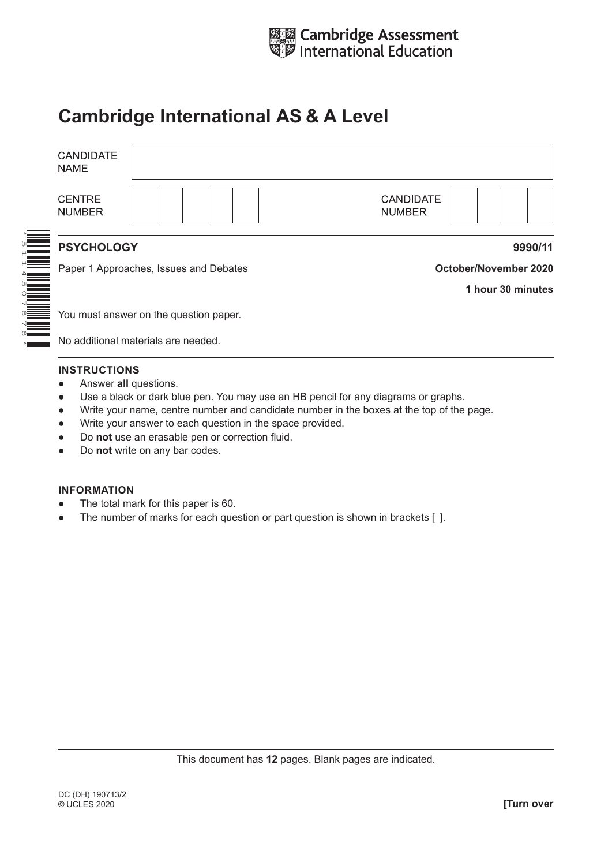

# **Cambridge International AS & A Level**

| <b>CANDIDATE</b><br><b>NAME</b>        |  |                                   |  |
|----------------------------------------|--|-----------------------------------|--|
| <b>CENTRE</b><br><b>NUMBER</b>         |  | <b>CANDIDATE</b><br><b>NUMBER</b> |  |
| <b>PSYCHOLOGY</b>                      |  | 9990/11                           |  |
| Paper 1 Approaches, Issues and Debates |  | <b>October/November 2020</b>      |  |
|                                        |  | 1 hour 30 minutes                 |  |
| You must answer on the question paper. |  |                                   |  |

No additional materials are needed.

#### **INSTRUCTIONS**

- **•** Answer all questions.
- Use a black or dark blue pen. You may use an HB pencil for any diagrams or graphs.
- Write your name, centre number and candidate number in the boxes at the top of the page.
- Write your answer to each question in the space provided.
- Do **not** use an erasable pen or correction fluid.
- Do **not** write on any bar codes.

#### **INFORMATION**

- The total mark for this paper is 60.
- The number of marks for each question or part question is shown in brackets [ ].

This document has **12** pages. Blank pages are indicated.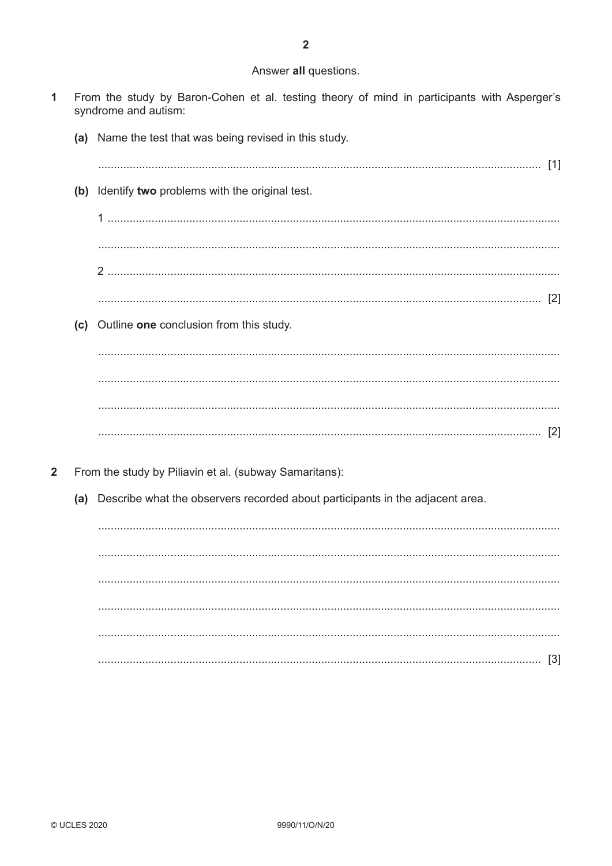## Answer all questions.

- 1 From the study by Baron-Cohen et al. testing theory of mind in participants with Asperger's syndrome and autism:
- (a) Name the test that was being revised in this study. (b) Identify two problems with the original test. (c) Outline one conclusion from this study.  $\overline{2}$ From the study by Piliavin et al. (subway Samaritans): (a) Describe what the observers recorded about participants in the adjacent area.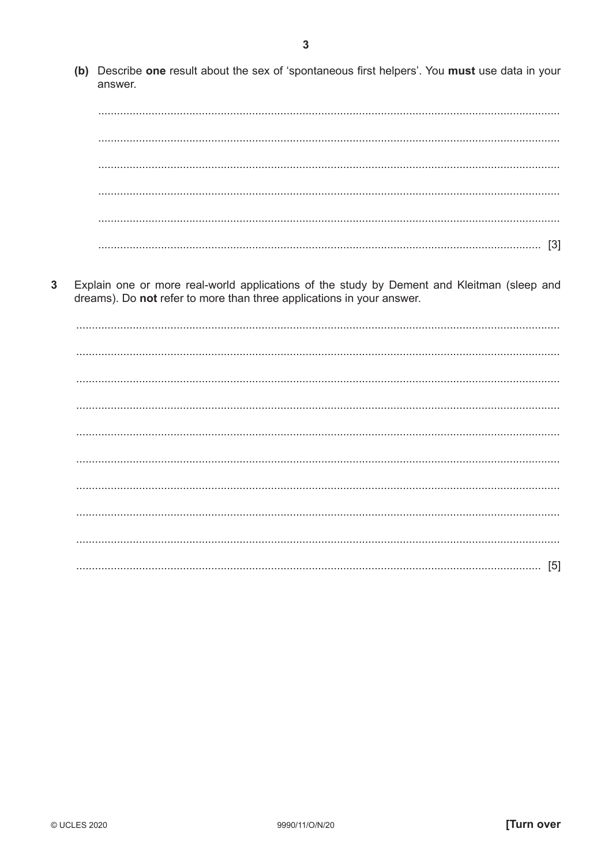(b) Describe one result about the sex of 'spontaneous first helpers'. You must use data in your answer. Explain one or more real-world applications of the study by Dement and Kleitman (sleep and dreams). Do not refer to more than three applications in your answer. 

 $\overline{3}$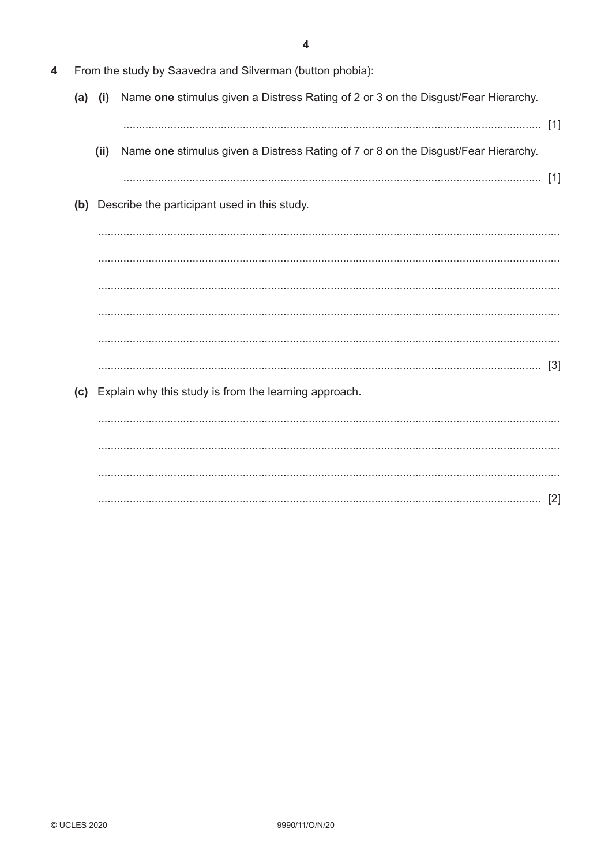From the study by Saavedra and Silverman (button phobia): (a) (i) Name one stimulus given a Distress Rating of 2 or 3 on the Disgust/Fear Hierarchy. Name one stimulus given a Distress Rating of 7 or 8 on the Disgust/Fear Hierarchy.  $(ii)$ (b) Describe the participant used in this study. (c) Explain why this study is from the learning approach. 

 $\overline{\mathbf{A}}$ 

© UCLES 2020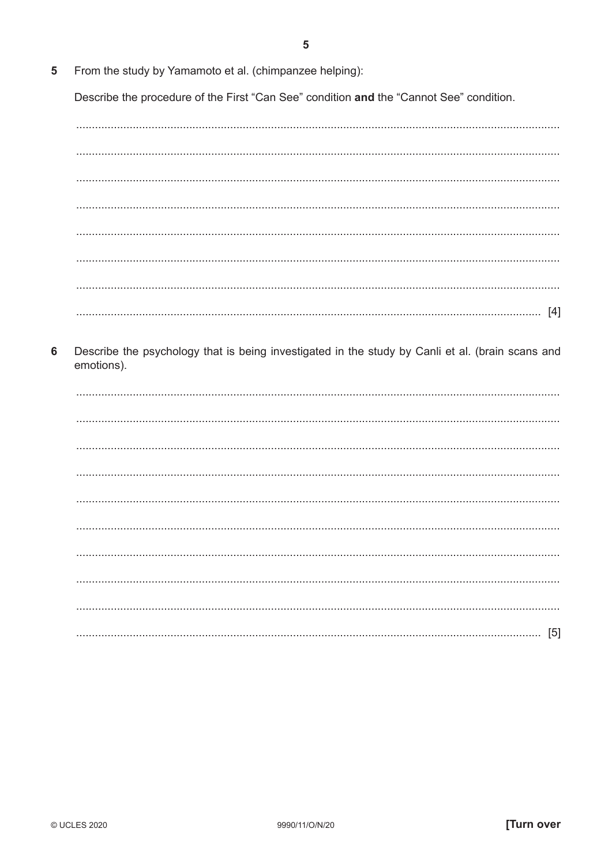5 From the study by Yamamoto et al. (chimpanzee helping):

Describe the procedure of the First "Can See" condition and the "Cannot See" condition.

Describe the psychology that is being investigated in the study by Canli et al. (brain scans and 6 emotions).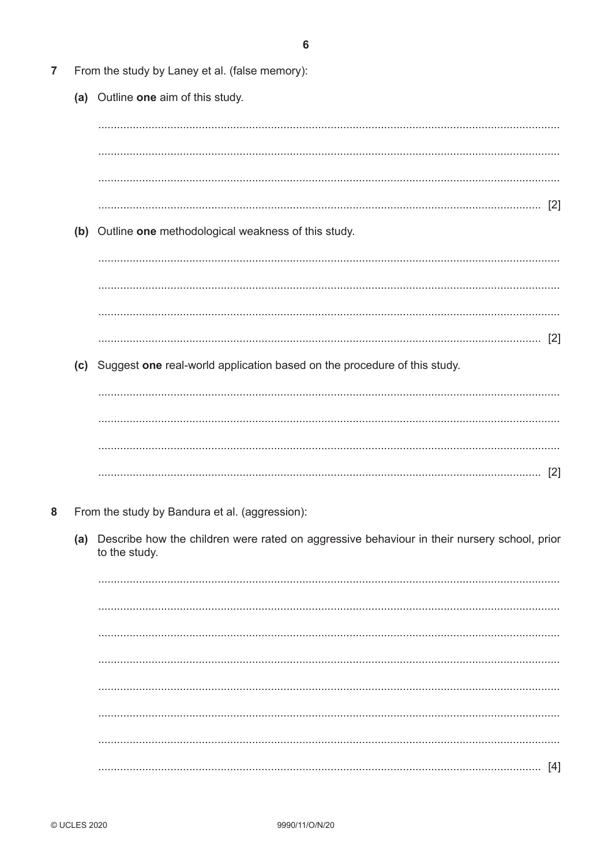| $\overline{7}$ |                                                | From the study by Laney et al. (false memory):                                                                   |  |  |  |
|----------------|------------------------------------------------|------------------------------------------------------------------------------------------------------------------|--|--|--|
|                |                                                | (a) Outline one aim of this study.                                                                               |  |  |  |
|                |                                                |                                                                                                                  |  |  |  |
|                |                                                |                                                                                                                  |  |  |  |
|                |                                                |                                                                                                                  |  |  |  |
|                |                                                | $[2]$                                                                                                            |  |  |  |
|                |                                                | (b) Outline one methodological weakness of this study.                                                           |  |  |  |
|                |                                                |                                                                                                                  |  |  |  |
|                |                                                |                                                                                                                  |  |  |  |
|                |                                                | (c) Suggest one real-world application based on the procedure of this study.                                     |  |  |  |
|                |                                                |                                                                                                                  |  |  |  |
|                |                                                |                                                                                                                  |  |  |  |
|                |                                                |                                                                                                                  |  |  |  |
|                |                                                |                                                                                                                  |  |  |  |
|                |                                                |                                                                                                                  |  |  |  |
| 8              | From the study by Bandura et al. (aggression): |                                                                                                                  |  |  |  |
|                |                                                | (a) Describe how the children were rated on aggressive behaviour in their nursery school, prior<br>to the study. |  |  |  |
|                |                                                |                                                                                                                  |  |  |  |
|                |                                                |                                                                                                                  |  |  |  |
|                |                                                |                                                                                                                  |  |  |  |
|                |                                                |                                                                                                                  |  |  |  |
|                |                                                |                                                                                                                  |  |  |  |
|                |                                                |                                                                                                                  |  |  |  |
|                |                                                |                                                                                                                  |  |  |  |
|                |                                                |                                                                                                                  |  |  |  |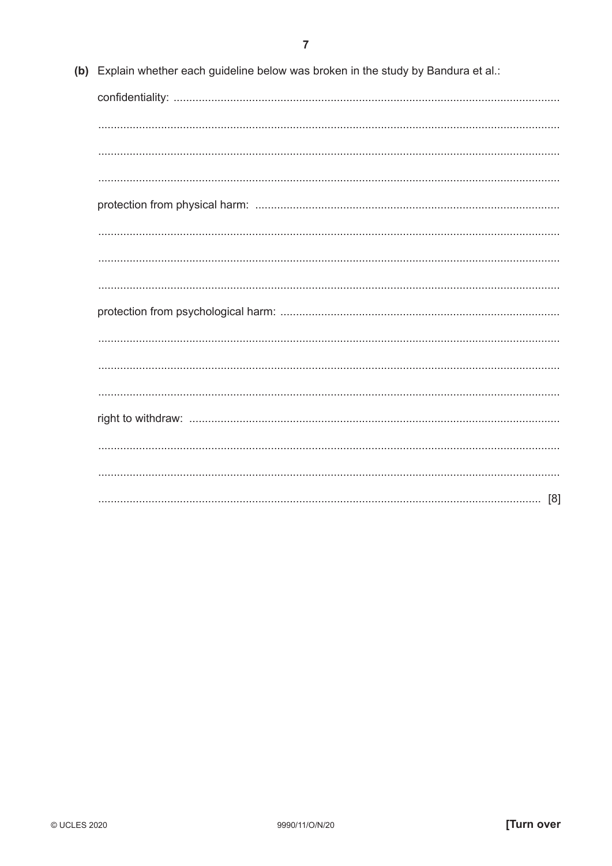| (b) Explain whether each guideline below was broken in the study by Bandura et al.: |  |  |
|-------------------------------------------------------------------------------------|--|--|
|                                                                                     |  |  |
|                                                                                     |  |  |
|                                                                                     |  |  |
|                                                                                     |  |  |
|                                                                                     |  |  |
|                                                                                     |  |  |
|                                                                                     |  |  |
|                                                                                     |  |  |
|                                                                                     |  |  |
|                                                                                     |  |  |
|                                                                                     |  |  |
|                                                                                     |  |  |
|                                                                                     |  |  |
|                                                                                     |  |  |
|                                                                                     |  |  |
|                                                                                     |  |  |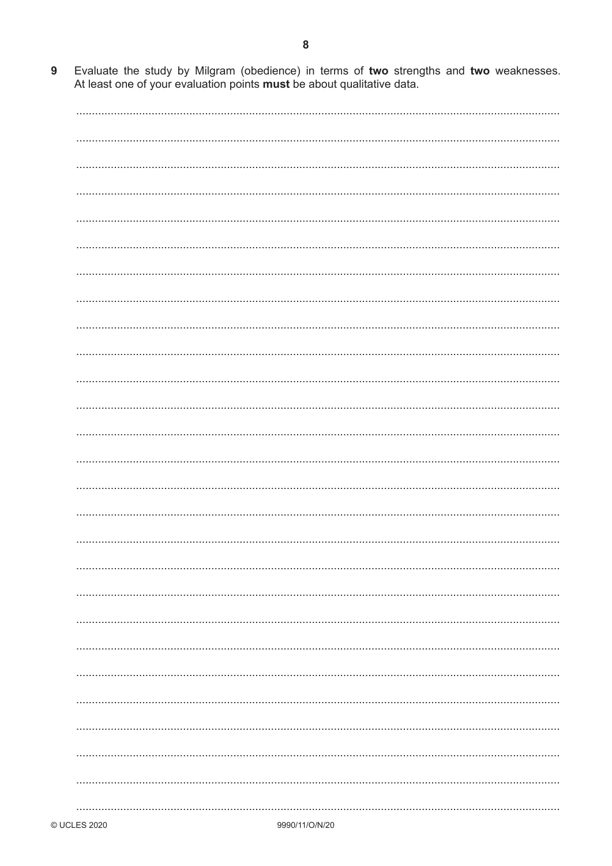Evaluate the study by Milgram (obedience) in terms of two strengths and two weaknesses.<br>At least one of your evaluation points must be about qualitative data.  $9$ 

| FS 2020 | 9990/11/O/N/20 |
|---------|----------------|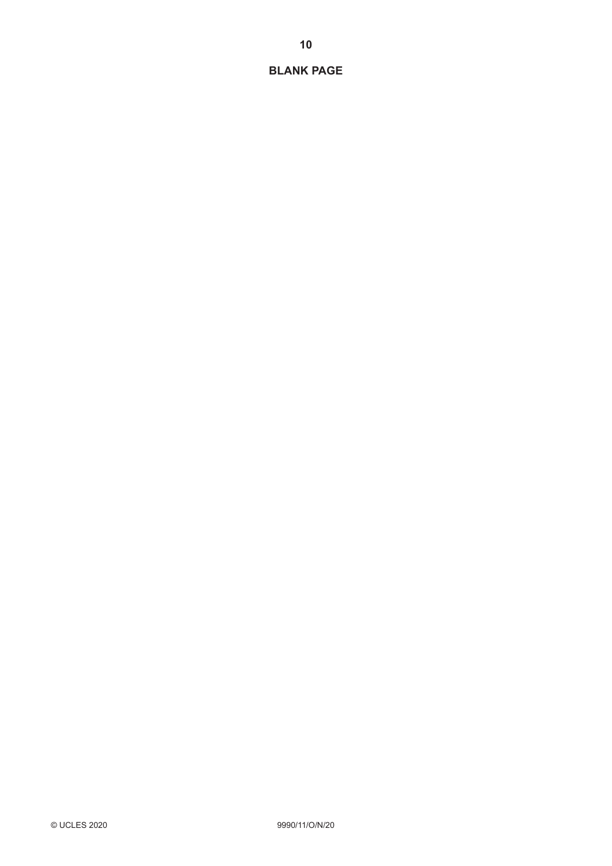## **BLANK PAGE**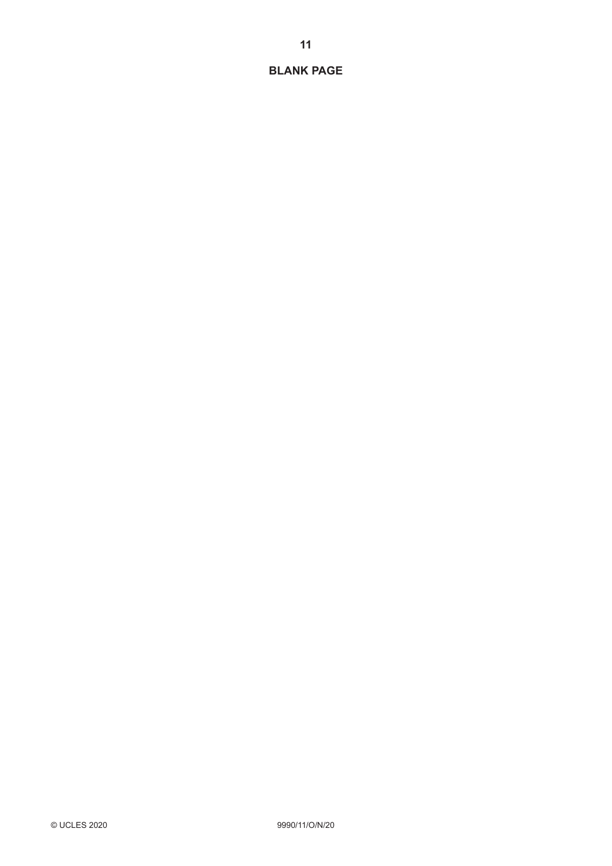# **BLANK PAGE**